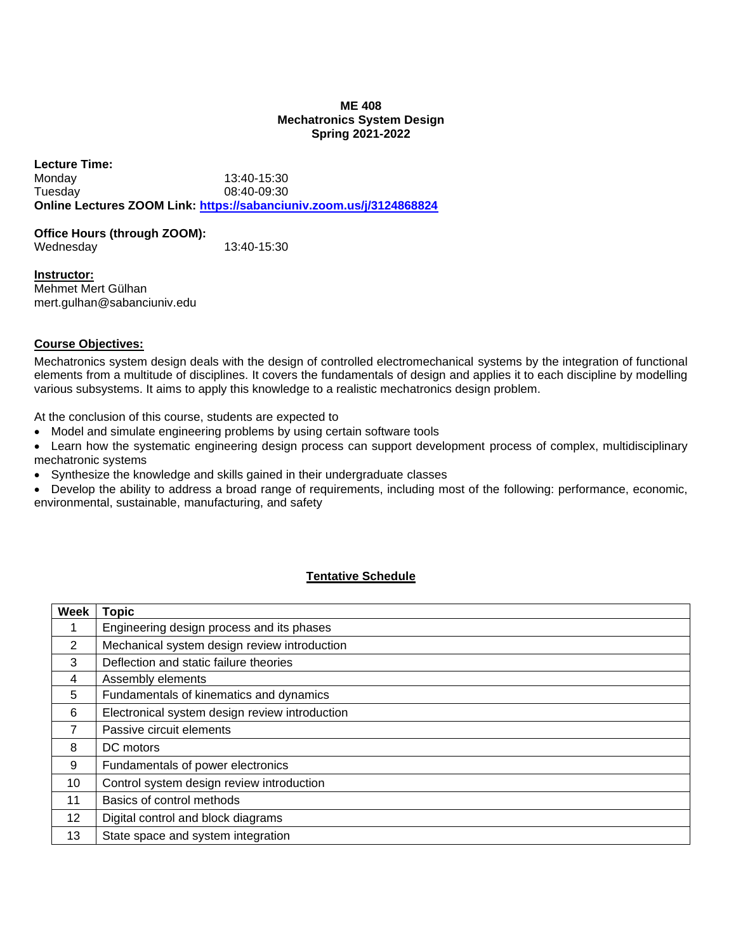#### **ME 408 Mechatronics System Design Spring 2021-2022**

**Lecture Time:** Monday 13:40-15:30 Tuesday 08:40-09:30 **Online Lectures ZOOM Link: [https://sabanciuniv.zoom.us/j/3124868824](https://www.google.com/url?q=https://sabanciuniv.zoom.us/j/3124868824&sa=D&source=calendar&ust=1633534789646482&usg=AOvVaw0XV5OS-qM-mWKn9Cq5QMuA)**

#### **Office Hours (through ZOOM):**

Wednesday 13:40-15:30

**Instructor:** Mehmet Mert Gülhan mert.gulhan@sabanciuniv.edu

## **Course Objectives:**

Mechatronics system design deals with the design of controlled electromechanical systems by the integration of functional elements from a multitude of disciplines. It covers the fundamentals of design and applies it to each discipline by modelling various subsystems. It aims to apply this knowledge to a realistic mechatronics design problem.

At the conclusion of this course, students are expected to

- Model and simulate engineering problems by using certain software tools
- Learn how the systematic engineering design process can support development process of complex, multidisciplinary mechatronic systems
- Synthesize the knowledge and skills gained in their undergraduate classes
- Develop the ability to address a broad range of requirements, including most of the following: performance, economic, environmental, sustainable, manufacturing, and safety

## **Tentative Schedule**

| <b>Week</b> | <b>Topic</b>                                   |
|-------------|------------------------------------------------|
| 1           | Engineering design process and its phases      |
| 2           | Mechanical system design review introduction   |
| 3           | Deflection and static failure theories         |
| 4           | Assembly elements                              |
| 5           | Fundamentals of kinematics and dynamics        |
| 6           | Electronical system design review introduction |
| 7           | Passive circuit elements                       |
| 8           | DC motors                                      |
| 9           | Fundamentals of power electronics              |
| 10          | Control system design review introduction      |
| 11          | Basics of control methods                      |
| 12          | Digital control and block diagrams             |
| 13          | State space and system integration             |